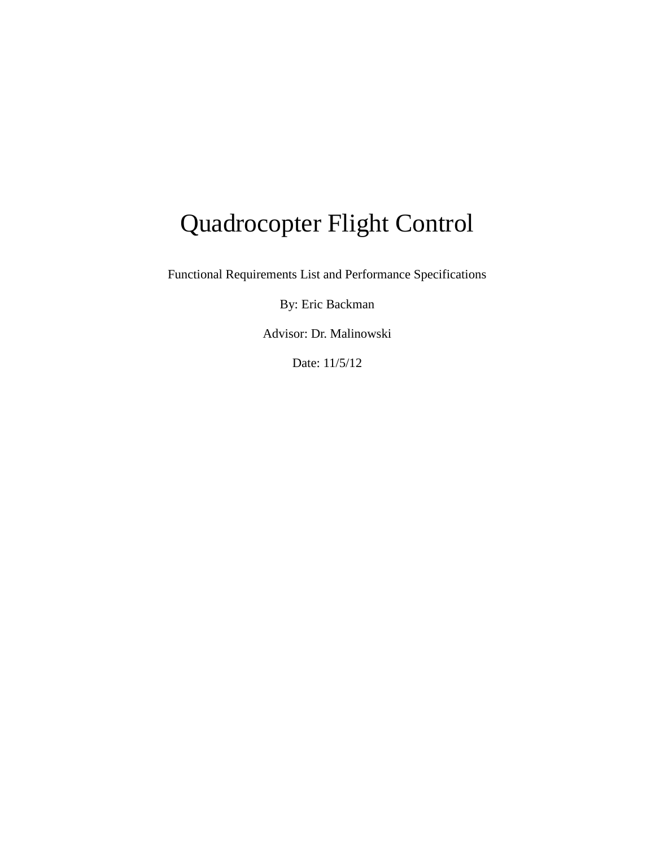# Quadrocopter Flight Control

Functional Requirements List and Performance Specifications

By: Eric Backman

Advisor: Dr. Malinowski

Date: 11/5/12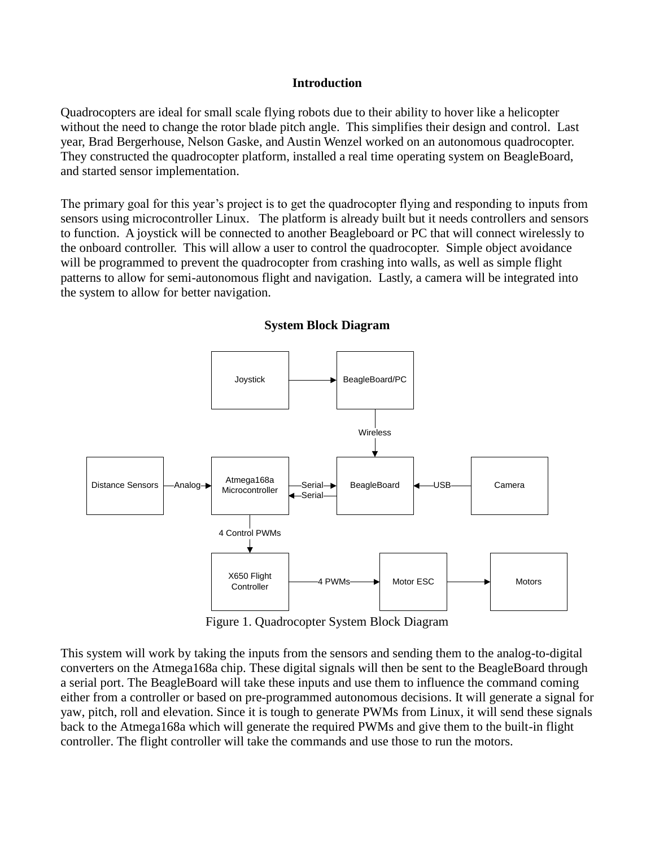#### **Introduction**

Quadrocopters are ideal for small scale flying robots due to their ability to hover like a helicopter without the need to change the rotor blade pitch angle. This simplifies their design and control. Last year, Brad Bergerhouse, Nelson Gaske, and Austin Wenzel worked on an autonomous quadrocopter. They constructed the quadrocopter platform, installed a real time operating system on BeagleBoard, and started sensor implementation.

The primary goal for this year's project is to get the quadrocopter flying and responding to inputs from sensors using microcontroller Linux. The platform is already built but it needs controllers and sensors to function. A joystick will be connected to another Beagleboard or PC that will connect wirelessly to the onboard controller. This will allow a user to control the quadrocopter. Simple object avoidance will be programmed to prevent the quadrocopter from crashing into walls, as well as simple flight patterns to allow for semi-autonomous flight and navigation. Lastly, a camera will be integrated into the system to allow for better navigation.



#### **System Block Diagram**

Figure 1. Quadrocopter System Block Diagram

This system will work by taking the inputs from the sensors and sending them to the analog-to-digital converters on the Atmega168a chip. These digital signals will then be sent to the BeagleBoard through a serial port. The BeagleBoard will take these inputs and use them to influence the command coming either from a controller or based on pre-programmed autonomous decisions. It will generate a signal for yaw, pitch, roll and elevation. Since it is tough to generate PWMs from Linux, it will send these signals back to the Atmega168a which will generate the required PWMs and give them to the built-in flight controller. The flight controller will take the commands and use those to run the motors.